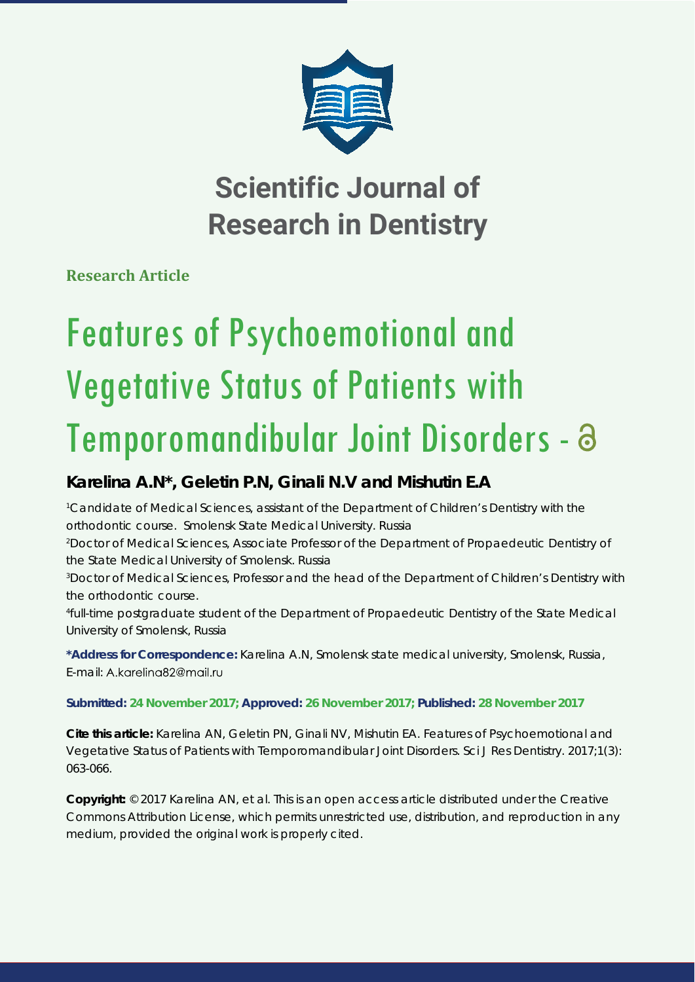

## **Scientific Journal of Research in Dentistry**

**Research Article**

*University of Smolensk, Russia*

# Features of Psychoemotional and Vegetative Status of Patients with Temporomandibular Joint Disorders -

### **Karelina A.N\*, Geletin P.N, Ginali N.V and Mishutin E.A**

<sup>1</sup> Candidate of Medical Sciences, assistant of the Department of Children's Dentistry with the *orthodontic course. Smolensk State Medical University. Russia 2 Doctor of Medical Sciences, Associate Professor of the Department of Propaedeutic Dentistry of the State Medical University of Smolensk. Russia 3 Doctor of Medical Sciences, Professor and the head of the Department of Children's Dentistry with the orthodontic course. 4 full-time postgraduate student of the Department of Propaedeutic Dentistry of the State Medical* 

**\*Address for Correspondence:** Karelina A.N, Smolensk state medical university, Smolensk, Russia, E-mail: A.kgreling82@mgil.ru

#### **Submitted: 24 November 2017; Approved: 26 November 2017; Published: 28 November 2017**

**Cite this article:** Karelina AN, Geletin PN, Ginali NV, Mishutin EA. Features of Psychoemotional and Vegetative Status of Patients with Temporomandibular Joint Disorders. Sci J Res Dentistry. 2017;1(3): 063-066.

**Copyright:** © 2017 Karelina AN, et al. This is an open access article distributed under the Creative Commons Attribution License, which permits unrestricted use, distribution, and reproduction in any medium, provided the original work is properly cited.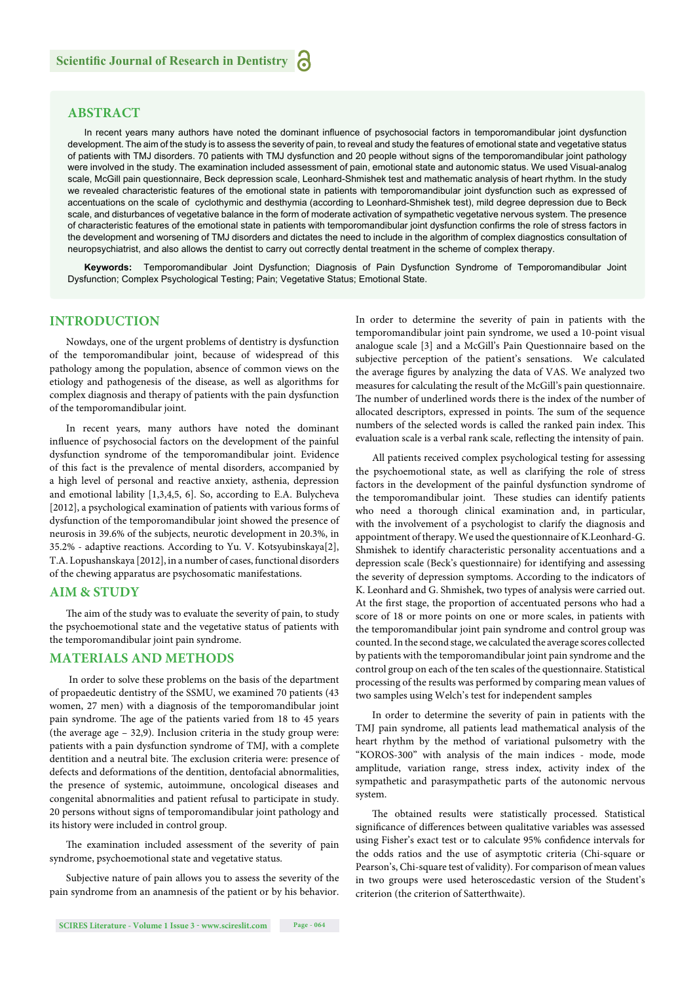#### **ABSTRACT**

In recent years many authors have noted the dominant influence of psychosocial factors in temporomandibular joint dysfunction development. The aim of the study is to assess the severity of pain, to reveal and study the features of emotional state and vegetative status of patients with TMJ disorders. 70 patients with TMJ dysfunction and 20 people without signs of the temporomandibular joint pathology were involved in the study. The examination included assessment of pain, emotional state and autonomic status. We used Visual-analog scale, McGill pain questionnaire, Beck depression scale, Leonhard-Shmishek test and mathematic analysis of heart rhythm. In the study we revealed characteristic features of the emotional state in patients with temporomandibular joint dysfunction such as expressed of accentuations on the scale of cyclothymic and desthymia (according to Leonhard-Shmishek test), mild degree depression due to Beck scale, and disturbances of vegetative balance in the form of moderate activation of sympathetic vegetative nervous system. The presence of characteristic features of the emotional state in patients with temporomandibular joint dysfunction confirms the role of stress factors in the development and worsening of TMJ disorders and dictates the need to include in the algorithm of complex diagnostics consultation of neuropsychiatrist, and also allows the dentist to carry out correctly dental treatment in the scheme of complex therapy.

**Keywords:** Temporomandibular Joint Dysfunction; Diagnosis of Pain Dysfunction Syndrome of Temporomandibular Joint Dysfunction; Complex Psychological Testing; Pain; Vegetative Status; Emotional State.

#### **INTRODUCTION**

Nowdays, one of the urgent problems of dentistry is dysfunction of the temporomandibular joint, because of widespread of this pathology among the population, absence of common views on the etiology and pathogenesis of the disease, as well as algorithms for complex diagnosis and therapy of patients with the pain dysfunction of the temporomandibular joint.

In recent years, many authors have noted the dominant influence of psychosocial factors on the development of the painful dysfunction syndrome of the temporomandibular joint. Evidence of this fact is the prevalence of mental disorders, accompanied by a high level of personal and reactive anxiety, asthenia, depression and emotional lability [1,3,4,5, 6]. So, according to E.A. Bulycheva [2012], a psychological examination of patients with various forms of dysfunction of the temporomandibular joint showed the presence of neurosis in 39.6% of the subjects, neurotic development in 20.3%, in 35.2% - adaptive reactions. According to Yu. V. Kotsyubinskaya[2], T.A. Lopushanskaya [2012], in a number of cases, functional disorders of the chewing apparatus are psychosomatic manifestations.

#### **AIM & STUDY**

The aim of the study was to evaluate the severity of pain, to study the psychoemotional state and the vegetative status of patients with the temporomandibular joint pain syndrome.

#### **MATERIALS AND METHODS**

In order to solve these problems on the basis of the department of propaedeutic dentistry of the SSMU, we examined 70 patients (43 women, 27 men) with a diagnosis of the temporomandibular joint pain syndrome. The age of the patients varied from 18 to 45 years (the average age – 32,9). Inclusion criteria in the study group were: patients with a pain dysfunction syndrome of TMJ, with a complete dentition and a neutral bite. The exclusion criteria were: presence of defects and deformations of the dentition, dentofacial abnormalities, the presence of systemic, autoimmune, oncological diseases and congenital abnormalities and patient refusal to participate in study. 20 persons without signs of temporomandibular joint pathology and its history were included in control group.

The examination included assessment of the severity of pain syndrome, psychoemotional state and vegetative status.

Subjective nature of pain allows you to assess the severity of the pain syndrome from an anamnesis of the patient or by his behavior.

analogue scale [3] and a McGill's Pain Questionnaire based on the subjective perception of the patient's sensations. We calculated the average figures by analyzing the data of VAS. We analyzed two measures for calculating the result of the McGill's pain questionnaire. The number of underlined words there is the index of the number of allocated descriptors, expressed in points. The sum of the sequence numbers of the selected words is called the ranked pain index. This evaluation scale is a verbal rank scale, reflecting the intensity of pain. All patients received complex psychological testing for assessing

In order to determine the severity of pain in patients with the temporomandibular joint pain syndrome, we used a 10-point visual

the psychoemotional state, as well as clarifying the role of stress factors in the development of the painful dysfunction syndrome of the temporomandibular joint. These studies can identify patients who need a thorough clinical examination and, in particular, with the involvement of a psychologist to clarify the diagnosis and appointment of therapy. We used the questionnaire of K.Leonhard-G. Shmishek to identify characteristic personality accentuations and a depression scale (Beck's questionnaire) for identifying and assessing the severity of depression symptoms. According to the indicators of K. Leonhard and G. Shmishek, two types of analysis were carried out. At the first stage, the proportion of accentuated persons who had a score of 18 or more points on one or more scales, in patients with the temporomandibular joint pain syndrome and control group was counted. In the second stage, we calculated the average scores collected by patients with the temporomandibular joint pain syndrome and the control group on each of the ten scales of the questionnaire. Statistical processing of the results was performed by comparing mean values of two samples using Welch's test for independent samples

In order to determine the severity of pain in patients with the TMJ pain syndrome, all patients lead mathematical analysis of the heart rhythm by the method of variational pulsometry with the "KOROS-300" with analysis of the main indices - mode, mode amplitude, variation range, stress index, activity index of the sympathetic and parasympathetic parts of the autonomic nervous system.

The obtained results were statistically processed. Statistical significance of differences between qualitative variables was assessed using Fisher's exact test or to calculate 95% confidence intervals for the odds ratios and the use of asymptotic criteria (Chi-square or Pearson's, Chi-square test of validity). For comparison of mean values in two groups were used heteroscedastic version of the Student's criterion (the criterion of Satterthwaite).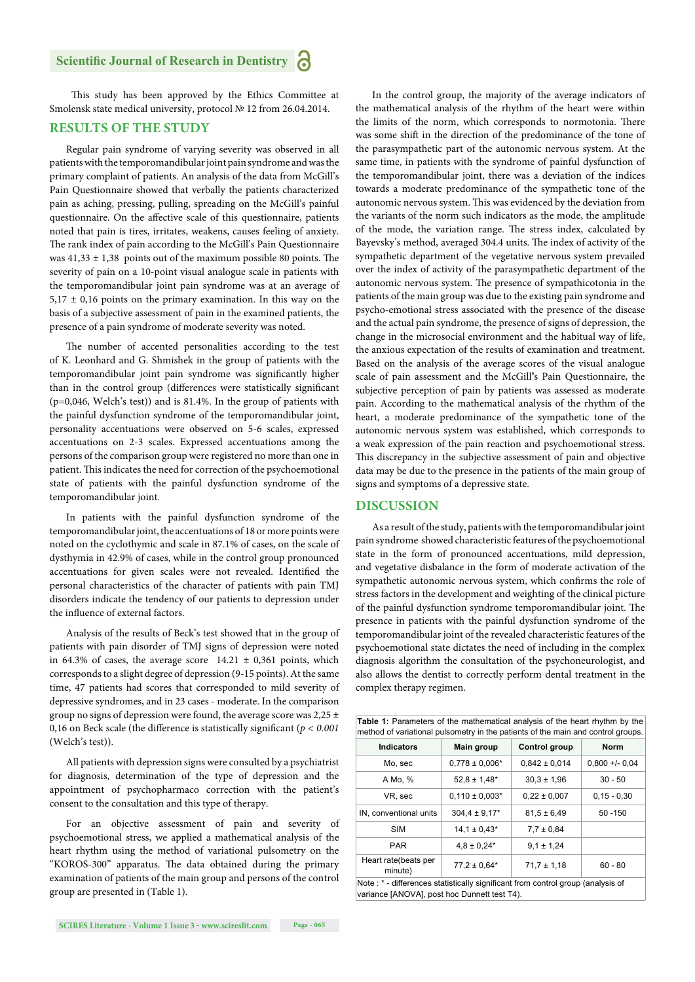#### **Scientific Journal of Research in Dentistry**

This study has been approved by the Ethics Committee at Smolensk state medical university, protocol № 12 from 26.04.2014.

#### **RESULTS OF THE STUDY**

Regular pain syndrome of varying severity was observed in all patients with the temporomandibular joint pain syndrome and was the primary complaint of patients. An analysis of the data from McGill's Pain Questionnaire showed that verbally the patients characterized pain as aching, pressing, pulling, spreading on the McGill's painful questionnaire. On the affective scale of this questionnaire, patients noted that pain is tires, irritates, weakens, causes feeling of anxiety. The rank index of pain according to the McGill's Pain Questionnaire was  $41,33 \pm 1,38$  points out of the maximum possible 80 points. The severity of pain on a 10-point visual analogue scale in patients with the temporomandibular joint pain syndrome was at an average of  $5,17 \pm 0,16$  points on the primary examination. In this way on the basis of a subjective assessment of pain in the examined patients, the presence of a pain syndrome of moderate severity was noted.

The number of accented personalities according to the test of K. Leonhard and G. Shmishek in the group of patients with the temporomandibular joint pain syndrome was significantly higher than in the control group (differences were statistically significant (p=0,046, Welch's test)) and is 81.4%. In the group of patients with the painful dysfunction syndrome of the temporomandibular joint, personality accentuations were observed on 5-6 scales, expressed accentuations on 2-3 scales. Expressed accentuations among the persons of the comparison group were registered no more than one in patient. This indicates the need for correction of the psychoemotional state of patients with the painful dysfunction syndrome of the temporomandibular joint.

In patients with the painful dysfunction syndrome of the temporomandibular joint, the accentuations of 18 or more points were noted on the cyclothymic and scale in 87.1% of cases, on the scale of dysthymia in 42.9% of cases, while in the control group pronounced accentuations for given scales were not revealed. Identified the personal characteristics of the character of patients with pain TMJ disorders indicate the tendency of our patients to depression under the influence of external factors.

Analysis of the results of Beck's test showed that in the group of patients with pain disorder of TMJ signs of depression were noted in 64.3% of cases, the average score  $14.21 \pm 0.361$  points, which corresponds to a slight degree of depression (9-15 points). At the same time, 47 patients had scores that corresponded to mild severity of depressive syndromes, and in 23 cases - moderate. In the comparison group no signs of depression were found, the average score was  $2,25 \pm$ 0,16 on Beck scale (the difference is statistically significant  $(p < 0.001)$ (Welch's test)).

All patients with depression signs were consulted by a psychiatrist for diagnosis, determination of the type of depression and the appointment of psychopharmaco correction with the patient's consent to the consultation and this type of therapy.

For an objective assessment of pain and severity of psychoemotional stress, we applied a mathematical analysis of the heart rhythm using the method of variational pulsometry on the "KOROS-300" apparatus. The data obtained during the primary examination of patients of the main group and persons of the control group are presented in (Table 1).

In the control group, the majority of the average indicators of the mathematical analysis of the rhythm of the heart were within the limits of the norm, which corresponds to normotonia. There was some shift in the direction of the predominance of the tone of the parasympathetic part of the autonomic nervous system. At the same time, in patients with the syndrome of painful dysfunction of the temporomandibular joint, there was a deviation of the indices towards a moderate predominance of the sympathetic tone of the autonomic nervous system. This was evidenced by the deviation from the variants of the norm such indicators as the mode, the amplitude of the mode, the variation range. The stress index, calculated by Bayevsky's method, averaged 304.4 units. The index of activity of the sympathetic department of the vegetative nervous system prevailed over the index of activity of the parasympathetic department of the autonomic nervous system. The presence of sympathicotonia in the patients of the main group was due to the existing pain syndrome and psycho-emotional stress associated with the presence of the disease and the actual pain syndrome, the presence of signs of depression, the change in the microsocial environment and the habitual way of life, the anxious expectation of the results of examination and treatment. Based on the analysis of the average scores of the visual analogue scale of pain assessment and the McGill**'**s Pain Questionnaire, the subjective perception of pain by patients was assessed as moderate pain. According to the mathematical analysis of the rhythm of the heart, a moderate predominance of the sympathetic tone of the autonomic nervous system was established, which corresponds to a weak expression of the pain reaction and psychoemotional stress. This discrepancy in the subjective assessment of pain and objective data may be due to the presence in the patients of the main group of signs and symptoms of a depressive state.

#### **DISCUSSION**

As a result of the study, patients with the temporomandibular joint pain syndrome showed characteristic features of the psychoemotional state in the form of pronounced accentuations, mild depression, and vegetative disbalance in the form of moderate activation of the sympathetic autonomic nervous system, which confirms the role of stress factors in the development and weighting of the clinical picture of the painful dysfunction syndrome temporomandibular joint. The presence in patients with the painful dysfunction syndrome of the temporomandibular joint of the revealed characteristic features of the psychoemotional state dictates the need of including in the complex diagnosis algorithm the consultation of the psychoneurologist, and also allows the dentist to correctly perform dental treatment in the complex therapy regimen.

| <b>Table 1:</b> Parameters of the mathematical analysis of the heart rhythm by the<br>method of variational pulsometry in the patients of the main and control groups. |                    |                      |                  |
|------------------------------------------------------------------------------------------------------------------------------------------------------------------------|--------------------|----------------------|------------------|
| <b>Indicators</b>                                                                                                                                                      | Main group         | <b>Control group</b> | <b>Norm</b>      |
| Mo, sec                                                                                                                                                                | $0.778 \pm 0.006*$ | $0,842 \pm 0,014$    | $0.800 +/- 0.04$ |
| A Mo, %                                                                                                                                                                | $52.8 \pm 1.48$ *  | $30.3 \pm 1.96$      | $30 - 50$        |
| VR, sec                                                                                                                                                                | $0.110 \pm 0.003*$ | $0.22 \pm 0.007$     | $0,15 - 0,30$    |
| IN, conventional units                                                                                                                                                 | $304.4 \pm 9.17$ * | $81.5 \pm 6.49$      | $50 - 150$       |
| SIM                                                                                                                                                                    | $14.1 \pm 0.43*$   | $7.7 \pm 0.84$       |                  |
| PAR                                                                                                                                                                    | $4.8 \pm 0.24*$    | $9.1 \pm 1.24$       |                  |
| Heart rate(beats per<br>minute)                                                                                                                                        | $77.2 \pm 0.64*$   | $71.7 \pm 1.18$      | $60 - 80$        |
| Note : * - differences statistically significant from control group (analysis of                                                                                       |                    |                      |                  |

variance [ANOVA], post hoc Dunnett test T4).